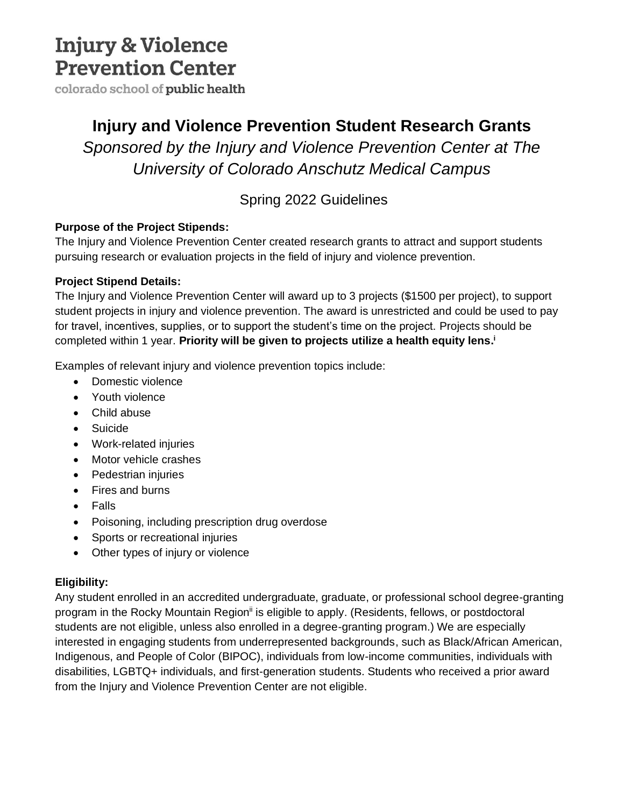# **Injury & Violence Prevention Center**

colorado school of public health

### **Injury and Violence Prevention Student Research Grants**

*Sponsored by the Injury and Violence Prevention Center at The University of Colorado Anschutz Medical Campus* 

### Spring 2022 Guidelines

### **Purpose of the Project Stipends:**

The Injury and Violence Prevention Center created research grants to attract and support students pursuing research or evaluation projects in the field of injury and violence prevention.

### **Project Stipend Details:**

The Injury and Violence Prevention Center will award up to 3 projects (\$1500 per project), to support student projects in injury and violence prevention. The award is unrestricted and could be used to pay for travel, incentives, supplies, or to support the student's time on the project. Projects should be completed within 1 year. **Priority will be given to projects utilize a health equity lens. i**

Examples of relevant injury and violence prevention topics include:

- Domestic violence
- Youth violence
- Child abuse
- Suicide
- Work-related injuries
- Motor vehicle crashes
- Pedestrian injuries
- Fires and burns
- Falls
- Poisoning, including prescription drug overdose
- Sports or recreational injuries
- Other types of injury or violence

### **Eligibility:**

Any student enrolled in an accredited undergraduate, graduate, or professional school degree-granting program in the Rocky Mountain Region<sup>ii</sup> is eligible to apply. (Residents, fellows, or postdoctoral students are not eligible, unless also enrolled in a degree-granting program.) We are especially interested in engaging students from underrepresented backgrounds, such as Black/African American, Indigenous, and People of Color (BIPOC), individuals from low-income communities, individuals with disabilities, LGBTQ+ individuals, and first-generation students. Students who received a prior award from the Injury and Violence Prevention Center are not eligible.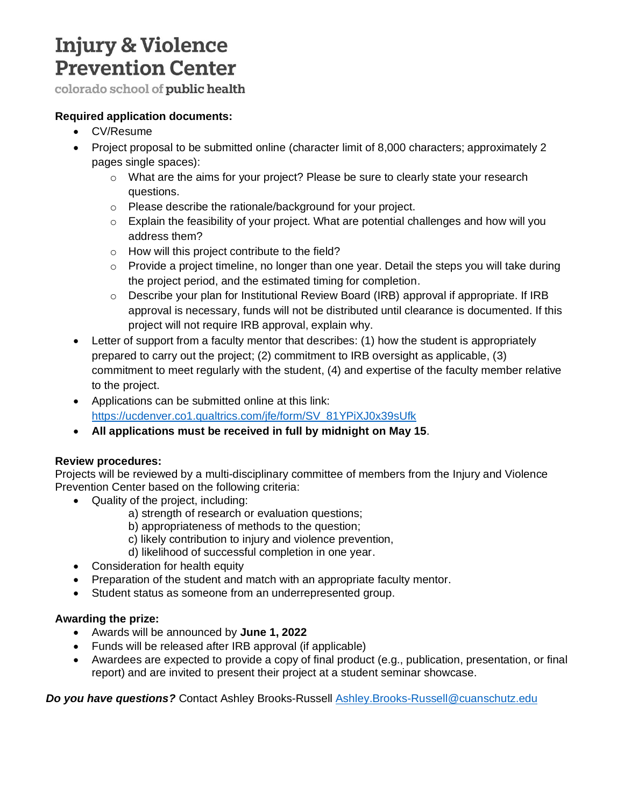# **Injury & Violence Prevention Center**

colorado school of public health

#### **Required application documents:**

- CV/Resume
- Project proposal to be submitted online (character limit of 8,000 characters; approximately 2 pages single spaces):
	- $\circ$  What are the aims for your project? Please be sure to clearly state your research questions.
	- o Please describe the rationale/background for your project.
	- $\circ$  Explain the feasibility of your project. What are potential challenges and how will you address them?
	- o How will this project contribute to the field?
	- $\circ$  Provide a project timeline, no longer than one year. Detail the steps you will take during the project period, and the estimated timing for completion.
	- $\circ$  Describe your plan for Institutional Review Board (IRB) approval if appropriate. If IRB approval is necessary, funds will not be distributed until clearance is documented. If this project will not require IRB approval, explain why.
- Letter of support from a faculty mentor that describes: (1) how the student is appropriately prepared to carry out the project; (2) commitment to IRB oversight as applicable, (3) commitment to meet regularly with the student, (4) and expertise of the faculty member relative to the project.
- Applications can be submitted online at this link: [https://ucdenver.co1.qualtrics.com/jfe/form/SV\\_81YPiXJ0x39sUfk](https://ucdenver.co1.qualtrics.com/jfe/form/SV_81YPiXJ0x39sUfk)
- **All applications must be received in full by midnight on May 15**.

#### **Review procedures:**

Projects will be reviewed by a multi-disciplinary committee of members from the Injury and Violence Prevention Center based on the following criteria:

- Quality of the project, including:
	- a) strength of research or evaluation questions;
	- b) appropriateness of methods to the question;
	- c) likely contribution to injury and violence prevention,
	- d) likelihood of successful completion in one year.
- Consideration for health equity
- Preparation of the student and match with an appropriate faculty mentor.
- Student status as someone from an underrepresented group.

#### **Awarding the prize:**

- Awards will be announced by **June 1, 2022**
- Funds will be released after IRB approval (if applicable)
- Awardees are expected to provide a copy of final product (e.g., publication, presentation, or final report) and are invited to present their project at a student seminar showcase.

*Do you have questions?* Contact Ashley Brooks-Russell [Ashley.Brooks-Russell@cuanschutz.edu](mailto:Ashley.Brooks-Russell@cuanschutz.edu)